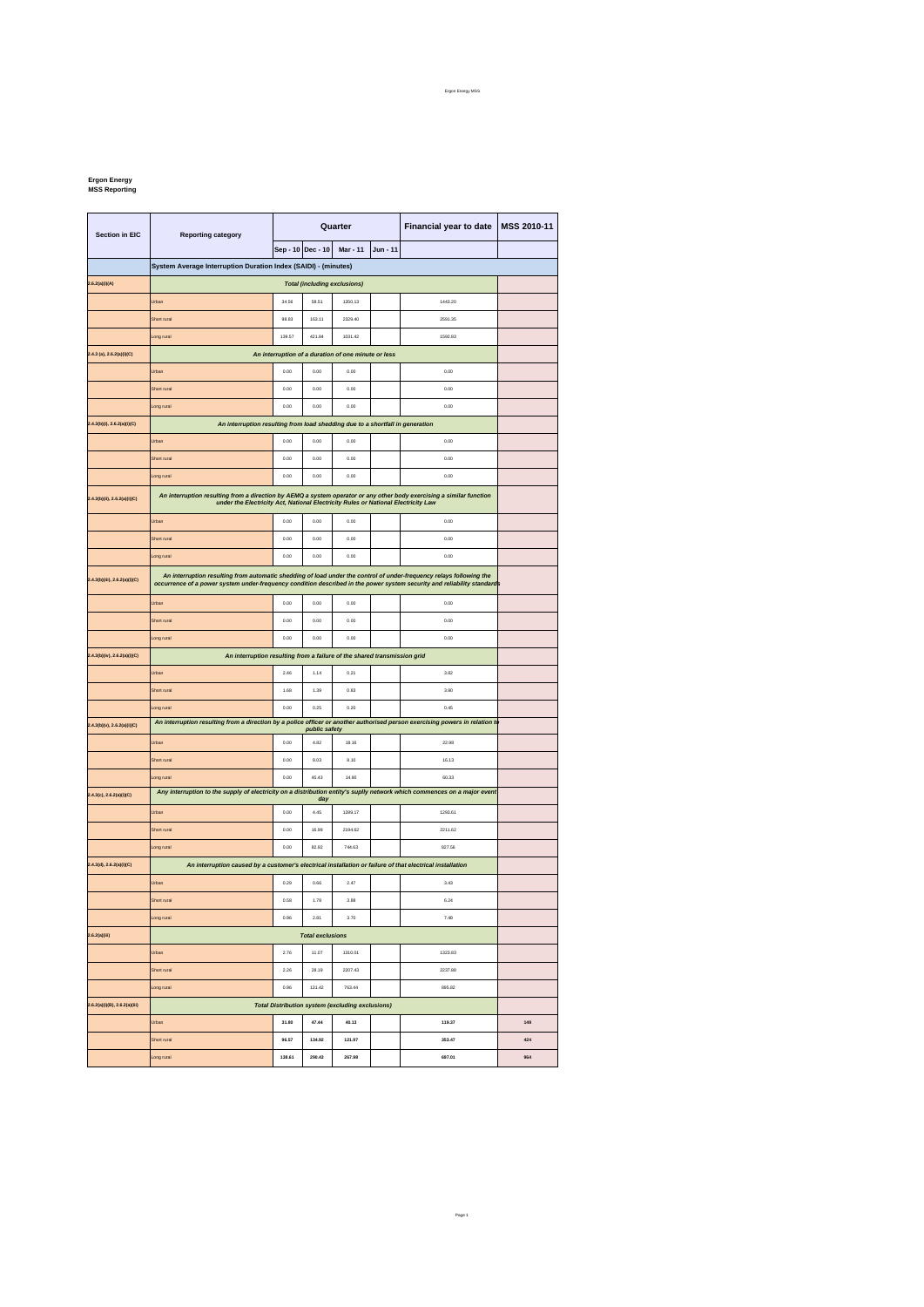## **Ergon Energy MSS Reporting**

| <b>Section in EIC</b>              | <b>Reporting category</b>                                                                                                                                                                                                                      | Quarter                                                                       |        |                                                         |  | Financial year to date | MSS 2010-11 |
|------------------------------------|------------------------------------------------------------------------------------------------------------------------------------------------------------------------------------------------------------------------------------------------|-------------------------------------------------------------------------------|--------|---------------------------------------------------------|--|------------------------|-------------|
|                                    |                                                                                                                                                                                                                                                | Sep - 10 Dec - 10<br>Mar - 11<br>Jun - 11                                     |        |                                                         |  |                        |             |
|                                    | System Average Interruption Duration Index (SAIDI) - (minutes)                                                                                                                                                                                 |                                                                               |        |                                                         |  |                        |             |
| 2.6.2(a)(i)(A)                     | <b>Total (including exclusions)</b>                                                                                                                                                                                                            |                                                                               |        |                                                         |  |                        |             |
|                                    | Urban                                                                                                                                                                                                                                          | 34.56                                                                         | 58.51  | 1350.13                                                 |  | 1443.20                |             |
|                                    | Short rural                                                                                                                                                                                                                                    | 98.83                                                                         | 163.11 | 2329.40                                                 |  | 2591.35                |             |
|                                    | Long rural                                                                                                                                                                                                                                     | 139.57                                                                        | 421.84 | 1031.42                                                 |  | 1592.83                |             |
| 2.4.3 (a), 2.6.2(a)(i)(C)          | An interruption of a duration of one minute or less                                                                                                                                                                                            |                                                                               |        |                                                         |  |                        |             |
|                                    | Urban                                                                                                                                                                                                                                          | 0.00                                                                          | 0.00   | 0.00                                                    |  | 0.00                   |             |
|                                    | Short rural                                                                                                                                                                                                                                    | 0.00                                                                          | 0.00   | 0.00                                                    |  | 0.00                   |             |
|                                    | Long rural                                                                                                                                                                                                                                     | 0.00                                                                          | 0.00   | 0.00                                                    |  | 0.00                   |             |
| 2.4.3(b)(i), 2.6.2(a)(i)(C)        |                                                                                                                                                                                                                                                | An interruption resulting from load shedding due to a shortfall in generation |        |                                                         |  |                        |             |
|                                    | <b>Jrban</b>                                                                                                                                                                                                                                   | 0.00                                                                          | 0.00   | 0.00                                                    |  | 0.00                   |             |
|                                    | Short rural                                                                                                                                                                                                                                    | 0.00                                                                          | 0.00   | 0.00                                                    |  | 0.00                   |             |
|                                    | Long rural                                                                                                                                                                                                                                     | 0.00                                                                          | 0.00   | 0.00                                                    |  | 0.00                   |             |
| 2.4.3(b)(ii), 2.6.2(a)(i)(C)       | An interruption resulting from a direction by AEMQ a system operator or any other body exercising a similar function<br>under the Electricity Act, National Electricity Rules or National Electricity Law                                      |                                                                               |        |                                                         |  |                        |             |
|                                    | Urban                                                                                                                                                                                                                                          | 0.00                                                                          | 0.00   | 0.00                                                    |  | 0.00                   |             |
|                                    | Short rural                                                                                                                                                                                                                                    | 0.00                                                                          | 0.00   | 0.00                                                    |  | 0.00                   |             |
|                                    | Long rural                                                                                                                                                                                                                                     | 0.00                                                                          | 0.00   | 0.00                                                    |  | 0.00                   |             |
| 2.4.3(b)(iii), 2.6.2(a)(i)(C)      | An interruption resulting from automatic shedding of load under the control of under-frequency relays following the<br>occurrence of a power system under-frequency condition described in the power system security and reliability standards |                                                                               |        |                                                         |  |                        |             |
|                                    | Urban                                                                                                                                                                                                                                          | 0.00                                                                          | 0.00   | 0.00                                                    |  | 0.00                   |             |
|                                    | Short rural                                                                                                                                                                                                                                    | 0.00                                                                          | 0.00   | 0.00                                                    |  | 0.00                   |             |
|                                    | Long rural                                                                                                                                                                                                                                     | 0.00                                                                          | 0.00   | 0.00                                                    |  | 0.00                   |             |
| 2.4.3(b)(iv), 2.6.2(a)(i)(C)       | An interruption resulting from a failure of the shared transmission grid                                                                                                                                                                       |                                                                               |        |                                                         |  |                        |             |
|                                    | Urban                                                                                                                                                                                                                                          | 2.46                                                                          | 1.14   | 0.21                                                    |  | 3.82                   |             |
|                                    | Short rural                                                                                                                                                                                                                                    | 1.68                                                                          | 1.39   | 0.83                                                    |  | 3.90                   |             |
|                                    | Long rural                                                                                                                                                                                                                                     | 0.00                                                                          | 0.25   | 0.20                                                    |  | 0.45                   |             |
| 2.4.3(b)(v), 2.6.2(a)(i)(C)        | An interruption resulting from a direction by a police officer or another authorised person exercising powers in relation to<br>public safety                                                                                                  |                                                                               |        |                                                         |  |                        |             |
|                                    | Urban                                                                                                                                                                                                                                          | 0.00                                                                          | 4.82   | 18.16                                                   |  | 22.98                  |             |
|                                    | Short rural                                                                                                                                                                                                                                    | 0.00                                                                          | 8.03   | 8.10                                                    |  | 16.13                  |             |
|                                    | Long rural                                                                                                                                                                                                                                     | 0.00                                                                          | 45.43  | 14.90                                                   |  | 60.33                  |             |
| 2.4.3(c), 2.6.2(a)(i)(C)           | Any interruption to the supply of electricity on a distribution entity's suplly network which commences on a major event                                                                                                                       |                                                                               | day    |                                                         |  |                        |             |
|                                    | Urban                                                                                                                                                                                                                                          | 0.00                                                                          | 4.45   | 1289.17                                                 |  | 1293.61                |             |
|                                    | Short rural                                                                                                                                                                                                                                    | 0.00                                                                          | 16.99  | 2194.62                                                 |  | 2211.62                |             |
|                                    | Long rural                                                                                                                                                                                                                                     | 0.00                                                                          | 82.92  | 744.63                                                  |  | 827.56                 |             |
| 2.4.3(d), 2.6.2(a)(i)(C)           | An interruption caused by a customer's electrical installation or failure of that electrical installation                                                                                                                                      |                                                                               |        |                                                         |  |                        |             |
|                                    | Urban                                                                                                                                                                                                                                          | 0.29                                                                          | 0.66   | 2.47                                                    |  | 3.43                   |             |
|                                    | Short rural                                                                                                                                                                                                                                    | 0.58                                                                          | 1.78   | 3.88                                                    |  | 6.24                   |             |
|                                    | Long rural                                                                                                                                                                                                                                     | 0.96                                                                          | 2.81   | 3.70                                                    |  | 7.48                   |             |
| 2.6.2(a)(iii)                      | <b>Total exclusions</b>                                                                                                                                                                                                                        |                                                                               |        |                                                         |  |                        |             |
|                                    | Urban                                                                                                                                                                                                                                          | 2.76                                                                          | 11.07  | 1310.01                                                 |  | 1323.83                |             |
|                                    | Short rural                                                                                                                                                                                                                                    | 2.26                                                                          | 28.19  | 2207.43                                                 |  | 2237.88                |             |
|                                    | Long rural                                                                                                                                                                                                                                     | 0.96                                                                          | 131.42 | 763.44                                                  |  | 895.82                 |             |
| $2.6.2(a)(i)(B)$ , $2.6.2(a)(iii)$ |                                                                                                                                                                                                                                                |                                                                               |        | <b>Total Distribution system (excluding exclusions)</b> |  |                        |             |
|                                    | Urban                                                                                                                                                                                                                                          | 31.80                                                                         | 47.44  | 40.13                                                   |  | 119.37                 | 149         |
|                                    | Short rural                                                                                                                                                                                                                                    | 96.57                                                                         | 134.92 | 121.97                                                  |  | 353.47                 | 424         |
|                                    | Long rural                                                                                                                                                                                                                                     | 138.61                                                                        | 290.43 | 267.98                                                  |  | 697.01                 | 964         |

Page 1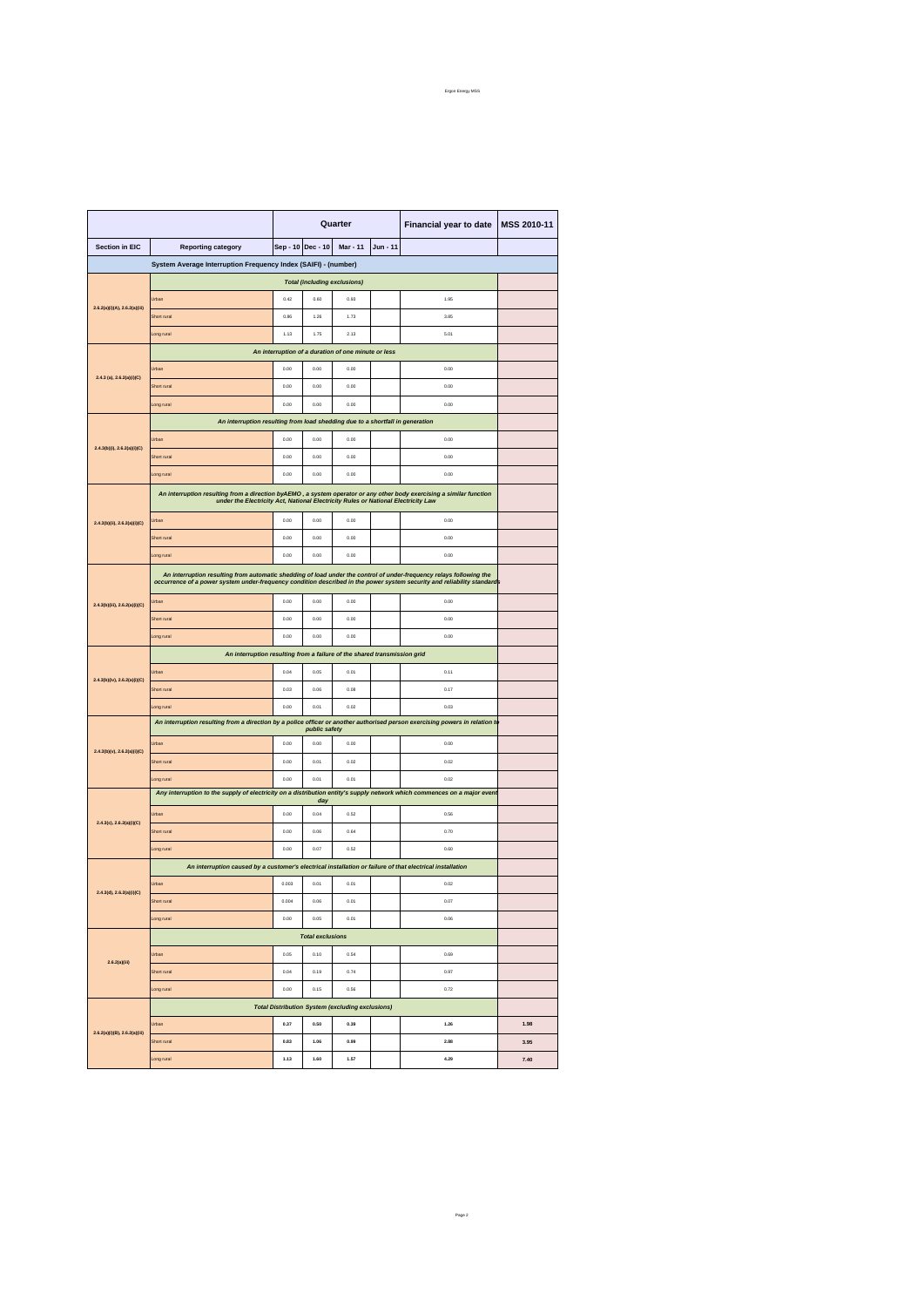|                               |                                                                                                                                                                                                                                                | Quarter |                         |                                                         |          | Financial year to date | MSS 2010-11 |  |
|-------------------------------|------------------------------------------------------------------------------------------------------------------------------------------------------------------------------------------------------------------------------------------------|---------|-------------------------|---------------------------------------------------------|----------|------------------------|-------------|--|
| <b>Section in EIC</b>         | <b>Reporting category</b>                                                                                                                                                                                                                      |         | Sep - 10 Dec - 10       | <b>Mar - 11</b>                                         | Jun - 11 |                        |             |  |
|                               | System Average Interruption Frequency Index (SAIFI) - (number)                                                                                                                                                                                 |         |                         |                                                         |          |                        |             |  |
|                               | <b>Total (including exclusions)</b>                                                                                                                                                                                                            |         |                         |                                                         |          |                        |             |  |
|                               | Jrban                                                                                                                                                                                                                                          | 0.42    | 0.60                    | 0.93                                                    |          | 1.95                   |             |  |
| 2.6.2(a)(i)(A), 2.6.2(a)(iii) | Short rural                                                                                                                                                                                                                                    | 0.86    | 1.26                    | 1.73                                                    |          | 3.85                   |             |  |
|                               | ong rural                                                                                                                                                                                                                                      | 1.13    | 1.75                    | 2.13                                                    |          | 5.01                   |             |  |
|                               | An interruption of a duration of one minute or less                                                                                                                                                                                            |         |                         |                                                         |          |                        |             |  |
|                               | 0.00<br>0.00<br>0.00<br>0.00<br>Jrbar                                                                                                                                                                                                          |         |                         |                                                         |          |                        |             |  |
| $2.4.3$ (a), $2.6.2(a)(i)(C)$ | Short rural                                                                                                                                                                                                                                    | 0.00    | 0.00                    | 0.00                                                    |          | 0.00                   |             |  |
|                               | ong rural                                                                                                                                                                                                                                      | 0.00    | 0.00                    | 0.00                                                    |          | 0.00                   |             |  |
|                               | An interruption resulting from load shedding due to a shortfall in generation                                                                                                                                                                  |         |                         |                                                         |          |                        |             |  |
|                               | Jrbar                                                                                                                                                                                                                                          | 0.00    | 0.00                    | 0.00                                                    |          | 0.00                   |             |  |
| 2.4.3(b)(i), 2.6.2(a)(i)(C)   | Short rural                                                                                                                                                                                                                                    | 0.00    | 0.00                    | 0.00                                                    |          | 0.00                   |             |  |
|                               | ong rural                                                                                                                                                                                                                                      | 0.00    | 0.00                    | 0.00                                                    |          | 0.00                   |             |  |
|                               | An interruption resulting from a direction byAEMO, a system operator or any other body exercising a similar function                                                                                                                           |         |                         |                                                         |          |                        |             |  |
|                               | under the Electricity Act, National Electricity Rules or National Electricity Law                                                                                                                                                              |         |                         |                                                         |          |                        |             |  |
| 2.4.3(b)(ii), 2.6.2(a)(i)(C)  | Jrban                                                                                                                                                                                                                                          | 0.00    | 0.00                    | 0.00                                                    |          | 0.00                   |             |  |
|                               | Short rural                                                                                                                                                                                                                                    | 0.00    | 0.00                    | 0.00                                                    |          | 0.00                   |             |  |
|                               | Long rural                                                                                                                                                                                                                                     | 0.00    | 0.00                    | 0.00                                                    |          | 0.00                   |             |  |
|                               | An interruption resulting from automatic shedding of load under the control of under-frequency relays following the<br>occurrence of a power system under-frequency condition described in the power system security and reliability standards |         |                         |                                                         |          |                        |             |  |
| 2.4.3(b)(iii), 2.6.2(a)(i)(C) | Urban                                                                                                                                                                                                                                          | 0.00    | 0.00                    | 0.00                                                    |          | 0.00                   |             |  |
|                               | Short rural                                                                                                                                                                                                                                    | 0.00    | 0.00                    | 0.00                                                    |          | 0.00                   |             |  |
|                               | ong rural                                                                                                                                                                                                                                      | 0.00    | 0.00                    | 0.00                                                    |          | 0.00                   |             |  |
|                               | An interruption resulting from a failure of the shared transmission grid                                                                                                                                                                       |         |                         |                                                         |          |                        |             |  |
| 2.4.3(b)(iv), 2.6.2(a)(i)(C)  | Jrban                                                                                                                                                                                                                                          | 0.04    | 0.05                    | 0.01                                                    |          | 0.11                   |             |  |
|                               | Short rural                                                                                                                                                                                                                                    | 0.03    | 0.06                    | 0.08                                                    |          | 0.17                   |             |  |
|                               | ong rural                                                                                                                                                                                                                                      | 0.00    | 0.01                    | 0.02                                                    |          | 0.03                   |             |  |
|                               | An interruption resulting from a direction by a police officer or another authorised person exercising powers in relation to                                                                                                                   |         | public safety           |                                                         |          |                        |             |  |
|                               | Jrban                                                                                                                                                                                                                                          | 0.00    | 0.00                    | 0.00                                                    |          | 0.00                   |             |  |
| 2.4.3(b)(v), 2.6.2(a)(i)(C)   | Short rural                                                                                                                                                                                                                                    | 0.00    | 0.01                    | 0.02                                                    |          | 0.02                   |             |  |
|                               | ong rural                                                                                                                                                                                                                                      | 0.00    | 0.01                    | 0.01                                                    |          | 0.02                   |             |  |
|                               | Any interruption to the supply of electricity on a distribution entity's supply network which commences on a major even                                                                                                                        |         | day                     |                                                         |          |                        |             |  |
|                               | Jrban                                                                                                                                                                                                                                          | 0.00    | 0.04                    | 0.52                                                    |          | 0.56                   |             |  |
| 2.4.3(c), 2.6.2(a)(i)(C)      | Short rural                                                                                                                                                                                                                                    | 0.00    | 0.06                    | 0.64                                                    |          | 0.70                   |             |  |
|                               | ong rural                                                                                                                                                                                                                                      | 0.00    | 0.07                    | 0.52                                                    |          | 0.60                   |             |  |
|                               | An interruption caused by a customer's electrical installation or failure of that electrical installation                                                                                                                                      |         |                         |                                                         |          |                        |             |  |
|                               | Jrban                                                                                                                                                                                                                                          | 0.003   | 0.01                    | 0.01                                                    |          | 0.02                   |             |  |
| 2.4.3(d), 2.6.2(a)(i)(C)      | Short rural                                                                                                                                                                                                                                    | 0.004   | 0.06                    | 0.01                                                    |          | 0.07                   |             |  |
|                               | ong rural                                                                                                                                                                                                                                      | 0.00    | 0.05                    | 0.01                                                    |          | 0.06                   |             |  |
|                               |                                                                                                                                                                                                                                                |         | <b>Total exclusions</b> |                                                         |          |                        |             |  |
|                               | Urban                                                                                                                                                                                                                                          | 0.05    | 0.10                    | 0.54                                                    |          | 0.69                   |             |  |
| 2.6.2(a)(iii)                 | Short rural                                                                                                                                                                                                                                    | 0.04    | 0.19                    | 0.74                                                    |          | 0.97                   |             |  |
|                               | Long rural                                                                                                                                                                                                                                     | 0.00    | 0.15                    | 0.56                                                    |          | 0.72                   |             |  |
|                               |                                                                                                                                                                                                                                                |         |                         | <b>Total Distribution System (excluding exclusions)</b> |          |                        |             |  |
|                               | Urban                                                                                                                                                                                                                                          | 0.37    | 0.50                    | 0.39                                                    |          | 1.26                   | 1.98        |  |
| 2.6.2(a)(i)(B), 2.6.2(a)(iii) | Short rural                                                                                                                                                                                                                                    | 0.83    | 1.06                    | 0.99                                                    |          | 2.88                   | 3.95        |  |
|                               | ong rural                                                                                                                                                                                                                                      | 1.13    | 1.60                    | 1.57                                                    |          | 4.29                   | 7.40        |  |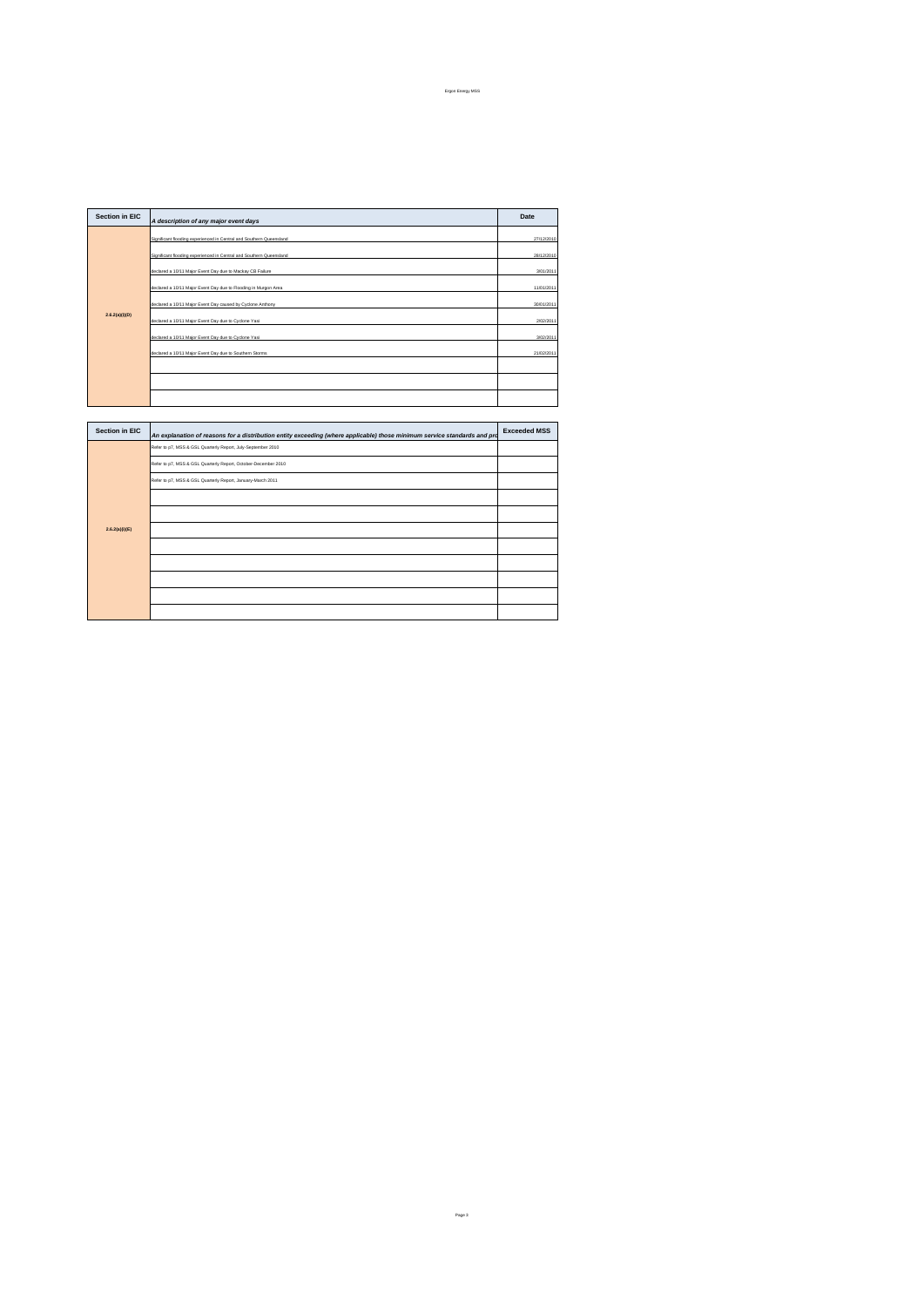| <b>Section in EIC</b> | A description of any major event days                               | Date       |  |  |  |
|-----------------------|---------------------------------------------------------------------|------------|--|--|--|
|                       | Significant flooding experienced in Central and Southern Queensland |            |  |  |  |
|                       | Significant flooding experienced in Central and Southern Queensland |            |  |  |  |
|                       | declared a 10/11 Major Event Day due to Mackay CB Failure           |            |  |  |  |
|                       | declared a 10/11 Major Event Day due to Flooding in Murgon Area     |            |  |  |  |
|                       | declared a 10/11 Major Event Day caused by Cyclone Anthony          |            |  |  |  |
| 2.6.2(a)(i)(D)        | declared a 10/11 Major Event Day due to Cyclone Yasi                |            |  |  |  |
|                       | declared a 10/11 Major Event Day due to Cyclone Yasi                | 3/02/2011  |  |  |  |
|                       | declared a 10/11 Major Event Day due to Southern Storms             | 21/02/2011 |  |  |  |
|                       |                                                                     |            |  |  |  |
|                       |                                                                     |            |  |  |  |
|                       |                                                                     |            |  |  |  |

|  | <b>Section in EIC</b> | An explanation of reasons for a distribution entity exceeding (where applicable) those minimum service standards and pro | <b>Exceeded MSS</b> |
|--|-----------------------|--------------------------------------------------------------------------------------------------------------------------|---------------------|
|  |                       | Refer to p7, MSS & GSL Quarterly Report, July-September 2010                                                             |                     |
|  |                       | Refer to p7, MSS & GSL Quarterly Report, October-December 2010                                                           |                     |
|  |                       | Refer to p7, MSS & GSL Quarterly Report, January-March 2011                                                              |                     |
|  |                       |                                                                                                                          |                     |
|  |                       |                                                                                                                          |                     |
|  | 2.6.2(a)(i)(E)        |                                                                                                                          |                     |
|  |                       |                                                                                                                          |                     |
|  |                       |                                                                                                                          |                     |
|  |                       |                                                                                                                          |                     |
|  |                       |                                                                                                                          |                     |
|  |                       |                                                                                                                          |                     |